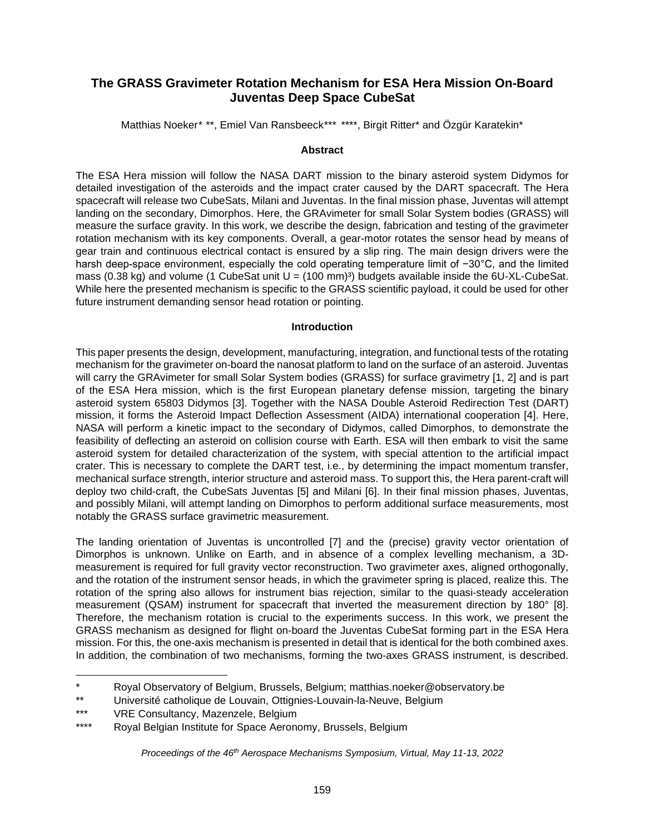# **The GRASS Gravimeter Rotation Mechanism for ESA Hera Mission On-Board Juventas Deep Space CubeSat**

Matthias Noeker[\\*](#page-0-1) \*\*, Emiel Van Ransbeeck[\\*\\*\\*](#page-0-2) \*\*\*\*, Birgit Ritter\* and Özgür Karatekin\*

### **Abstract**

The ESA Hera mission will follow the NASA DART mission to the binary asteroid system Didymos for detailed investigation of the asteroids and the impact crater caused by the DART spacecraft. The Hera spacecraft will release two CubeSats, Milani and Juventas. In the final mission phase, Juventas will attempt landing on the secondary, Dimorphos. Here, the GRAvimeter for small Solar System bodies (GRASS) will measure the surface gravity. In this work, we describe the design, fabrication and testing of the gravimeter rotation mechanism with its key components. Overall, a gear-motor rotates the sensor head by means of gear train and continuous electrical contact is ensured by a slip ring. The main design drivers were the harsh deep-space environment, especially the cold operating temperature limit of −30°C, and the limited mass (0.38 kg) and volume (1 CubeSat unit  $U = (100 \text{ mm})^3$ ) budgets available inside the 6U-XL-CubeSat. While here the presented mechanism is specific to the GRASS scientific payload, it could be used for other future instrument demanding sensor head rotation or pointing.

### **Introduction**

This paper presents the design, development, manufacturing, integration, and functional tests of the rotating mechanism for the gravimeter on-board the nanosat platform to land on the surface of an asteroid. Juventas will carry the GRAvimeter for small Solar System bodies (GRASS) for surface gravimetry [1, 2] and is part of the ESA Hera mission, which is the first European planetary defense mission, targeting the binary asteroid system 65803 Didymos [3]. Together with the NASA Double Asteroid Redirection Test (DART) mission, it forms the Asteroid Impact Deflection Assessment (AIDA) international cooperation [4]. Here, NASA will perform a kinetic impact to the secondary of Didymos, called Dimorphos, to demonstrate the feasibility of deflecting an asteroid on collision course with Earth. ESA will then embark to visit the same asteroid system for detailed characterization of the system, with special attention to the artificial impact crater. This is necessary to complete the DART test, i.e., by determining the impact momentum transfer, mechanical surface strength, interior structure and asteroid mass. To support this, the Hera parent-craft will deploy two child-craft, the CubeSats Juventas [5] and Milani [6]. In their final mission phases, Juventas, and possibly Milani, will attempt landing on Dimorphos to perform additional surface measurements, most notably the GRASS surface gravimetric measurement.

The landing orientation of Juventas is uncontrolled [7] and the (precise) gravity vector orientation of Dimorphos is unknown. Unlike on Earth, and in absence of a complex levelling mechanism, a 3Dmeasurement is required for full gravity vector reconstruction. Two gravimeter axes, aligned orthogonally, and the rotation of the instrument sensor heads, in which the gravimeter spring is placed, realize this. The rotation of the spring also allows for instrument bias rejection, similar to the quasi-steady acceleration measurement (QSAM) instrument for spacecraft that inverted the measurement direction by 180° [8]. Therefore, the mechanism rotation is crucial to the experiments success. In this work, we present the GRASS mechanism as designed for flight on-board the Juventas CubeSat forming part in the ESA Hera mission. For this, the one-axis mechanism is presented in detail that is identical for the both combined axes. In addition, the combination of two mechanisms, forming the two-axes GRASS instrument, is described.

*Proceedings of the 46th Aerospace Mechanisms Symposium, Virtual, May 11-13, 2022*

<span id="page-0-1"></span><span id="page-0-0"></span><sup>\*</sup> Royal Observatory of Belgium, Brussels, Belgium; matthias.noeker@observatory.be

<sup>\*\*</sup> 2 Université catholique de Louvain, Ottignies-Louvain-la-Neuve, Belgium

<span id="page-0-3"></span><span id="page-0-2"></span><sup>\*\*\*</sup> VRE Consultancy, Mazenzele, Belgium

<sup>\*\*\*\*</sup> 4 Royal Belgian Institute for Space Aeronomy, Brussels, Belgium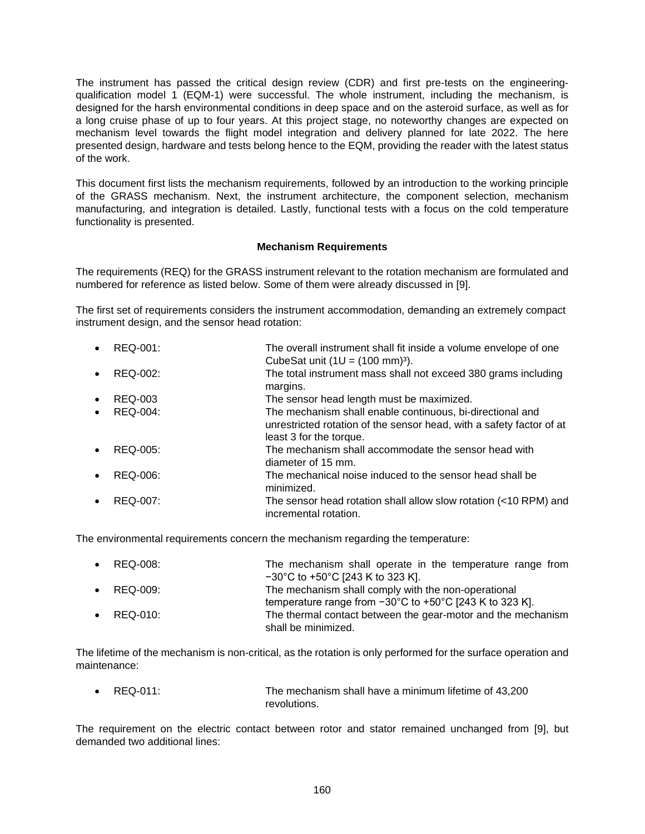The instrument has passed the critical design review (CDR) and first pre-tests on the engineeringqualification model 1 (EQM-1) were successful. The whole instrument, including the mechanism, is designed for the harsh environmental conditions in deep space and on the asteroid surface, as well as for a long cruise phase of up to four years. At this project stage, no noteworthy changes are expected on mechanism level towards the flight model integration and delivery planned for late 2022. The here presented design, hardware and tests belong hence to the EQM, providing the reader with the latest status of the work.

This document first lists the mechanism requirements, followed by an introduction to the working principle of the GRASS mechanism. Next, the instrument architecture, the component selection, mechanism manufacturing, and integration is detailed. Lastly, functional tests with a focus on the cold temperature functionality is presented.

## **Mechanism Requirements**

The requirements (REQ) for the GRASS instrument relevant to the rotation mechanism are formulated and numbered for reference as listed below. Some of them were already discussed in [9].

The first set of requirements considers the instrument accommodation, demanding an extremely compact instrument design, and the sensor head rotation:

| $\bullet$ | REQ-001:        | The overall instrument shall fit inside a volume envelope of one                                                                                             |
|-----------|-----------------|--------------------------------------------------------------------------------------------------------------------------------------------------------------|
|           |                 | CubeSat unit $(1U = (100 \text{ mm})^3)$ .                                                                                                                   |
| $\bullet$ | <b>REQ-002:</b> | The total instrument mass shall not exceed 380 grams including<br>margins.                                                                                   |
| $\bullet$ | <b>REQ-003</b>  | The sensor head length must be maximized.                                                                                                                    |
| $\bullet$ | REQ-004:        | The mechanism shall enable continuous, bi-directional and<br>unrestricted rotation of the sensor head, with a safety factor of at<br>least 3 for the torque. |
| $\bullet$ | REQ-005:        | The mechanism shall accommodate the sensor head with<br>diameter of 15 mm.                                                                                   |
| $\bullet$ | REQ-006:        | The mechanical noise induced to the sensor head shall be<br>minimized.                                                                                       |
| $\bullet$ | REQ-007:        | The sensor head rotation shall allow slow rotation (<10 RPM) and<br>incremental rotation.                                                                    |

The environmental requirements concern the mechanism regarding the temperature:

| $\bullet$ REQ-008: | The mechanism shall operate in the temperature range from<br>$-30^{\circ}$ C to +50 $^{\circ}$ C [243 K to 323 K].                 |
|--------------------|------------------------------------------------------------------------------------------------------------------------------------|
| $\bullet$ REQ-009: | The mechanism shall comply with the non-operational<br>temperature range from $-30^{\circ}$ C to $+50^{\circ}$ C [243 K to 323 K]. |
| $\bullet$ REQ-010: | The thermal contact between the gear-motor and the mechanism<br>shall be minimized.                                                |

The lifetime of the mechanism is non-critical, as the rotation is only performed for the surface operation and maintenance:

 REQ-011: The mechanism shall have a minimum lifetime of 43,200 revolutions.

The requirement on the electric contact between rotor and stator remained unchanged from [9], but demanded two additional lines: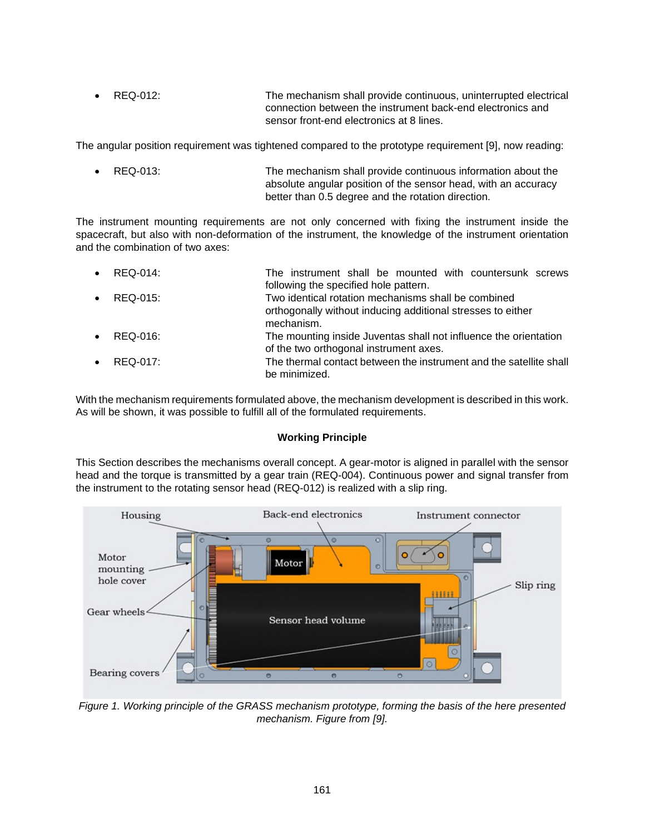REQ-012: The mechanism shall provide continuous, uninterrupted electrical connection between the instrument back-end electronics and sensor front-end electronics at 8 lines.

The angular position requirement was tightened compared to the prototype requirement [9], now reading:

 REQ-013: The mechanism shall provide continuous information about the absolute angular position of the sensor head, with an accuracy better than 0.5 degree and the rotation direction.

The instrument mounting requirements are not only concerned with fixing the instrument inside the spacecraft, but also with non-deformation of the instrument, the knowledge of the instrument orientation and the combination of two axes:

| $\bullet$ REQ-014: | The instrument shall be mounted with countersunk screws<br>following the specified hole pattern.                                 |
|--------------------|----------------------------------------------------------------------------------------------------------------------------------|
| $\bullet$ REQ-015: | Two identical rotation mechanisms shall be combined<br>orthogonally without inducing additional stresses to either<br>mechanism. |
| $\bullet$ REQ-016: | The mounting inside Juventas shall not influence the orientation<br>of the two orthogonal instrument axes.                       |
| $\bullet$ REQ-017: | The thermal contact between the instrument and the satellite shall<br>be minimized.                                              |

With the mechanism requirements formulated above, the mechanism development is described in this work. As will be shown, it was possible to fulfill all of the formulated requirements.

## **Working Principle**

This Section describes the mechanisms overall concept. A gear-motor is aligned in parallel with the sensor head and the torque is transmitted by a gear train (REQ-004). Continuous power and signal transfer from the instrument to the rotating sensor head (REQ-012) is realized with a slip ring.



*Figure 1. Working principle of the GRASS mechanism prototype, forming the basis of the here presented mechanism. Figure from [9].*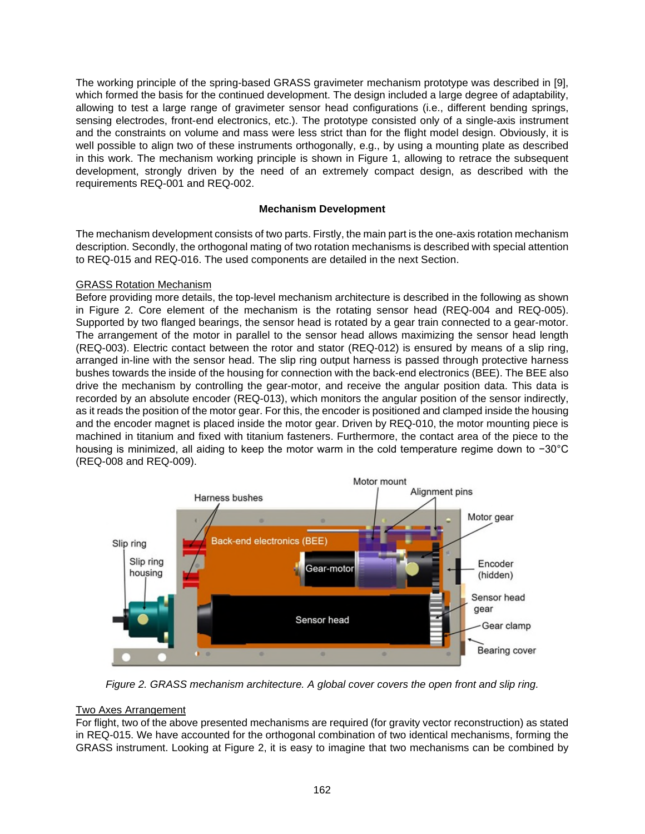The working principle of the spring-based GRASS gravimeter mechanism prototype was described in [9], which formed the basis for the continued development. The design included a large degree of adaptability, allowing to test a large range of gravimeter sensor head configurations (i.e., different bending springs, sensing electrodes, front-end electronics, etc.). The prototype consisted only of a single-axis instrument and the constraints on volume and mass were less strict than for the flight model design. Obviously, it is well possible to align two of these instruments orthogonally, e.g., by using a mounting plate as described in this work. The mechanism working principle is shown in Figure 1, allowing to retrace the subsequent development, strongly driven by the need of an extremely compact design, as described with the requirements REQ-001 and REQ-002.

## **Mechanism Development**

The mechanism development consists of two parts. Firstly, the main part is the one-axis rotation mechanism description. Secondly, the orthogonal mating of two rotation mechanisms is described with special attention to REQ-015 and REQ-016. The used components are detailed in the next Section.

## GRASS Rotation Mechanism

Before providing more details, the top-level mechanism architecture is described in the following as shown in Figure 2. Core element of the mechanism is the rotating sensor head (REQ-004 and REQ-005). Supported by two flanged bearings, the sensor head is rotated by a gear train connected to a gear-motor. The arrangement of the motor in parallel to the sensor head allows maximizing the sensor head length (REQ-003). Electric contact between the rotor and stator (REQ-012) is ensured by means of a slip ring, arranged in-line with the sensor head. The slip ring output harness is passed through protective harness bushes towards the inside of the housing for connection with the back-end electronics (BEE). The BEE also drive the mechanism by controlling the gear-motor, and receive the angular position data. This data is recorded by an absolute encoder (REQ-013), which monitors the angular position of the sensor indirectly, as it reads the position of the motor gear. For this, the encoder is positioned and clamped inside the housing and the encoder magnet is placed inside the motor gear. Driven by REQ-010, the motor mounting piece is machined in titanium and fixed with titanium fasteners. Furthermore, the contact area of the piece to the housing is minimized, all aiding to keep the motor warm in the cold temperature regime down to −30°C (REQ-008 and REQ-009).



*Figure 2. GRASS mechanism architecture. A global cover covers the open front and slip ring.* 

### Two Axes Arrangement

For flight, two of the above presented mechanisms are required (for gravity vector reconstruction) as stated in REQ-015. We have accounted for the orthogonal combination of two identical mechanisms, forming the GRASS instrument. Looking at Figure 2, it is easy to imagine that two mechanisms can be combined by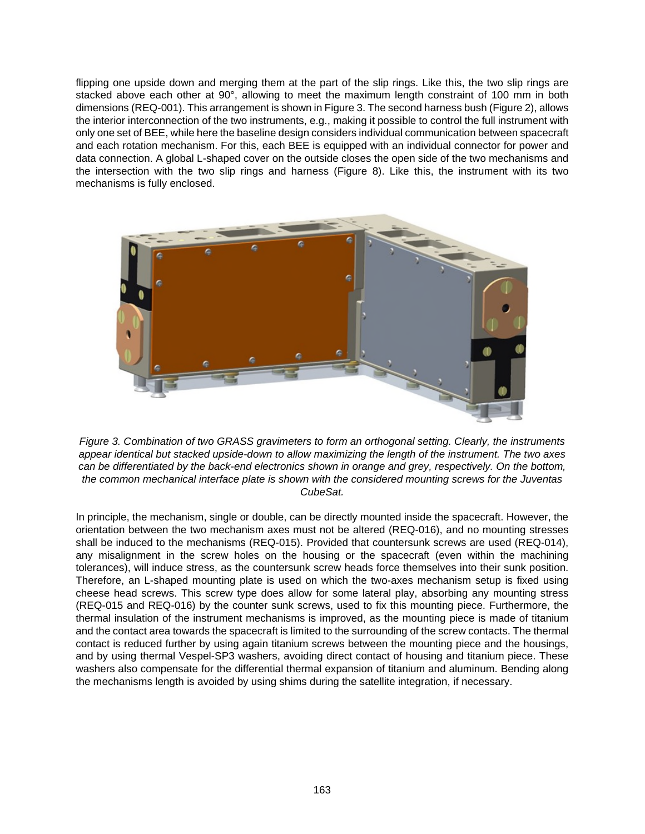flipping one upside down and merging them at the part of the slip rings. Like this, the two slip rings are stacked above each other at 90°, allowing to meet the maximum length constraint of 100 mm in both dimensions (REQ-001). This arrangement is shown in Figure 3. The second harness bush (Figure 2), allows the interior interconnection of the two instruments, e.g., making it possible to control the full instrument with only one set of BEE, while here the baseline design considers individual communication between spacecraft and each rotation mechanism. For this, each BEE is equipped with an individual connector for power and data connection. A global L-shaped cover on the outside closes the open side of the two mechanisms and the intersection with the two slip rings and harness (Figure 8). Like this, the instrument with its two mechanisms is fully enclosed.



*Figure 3. Combination of two GRASS gravimeters to form an orthogonal setting. Clearly, the instruments appear identical but stacked upside-down to allow maximizing the length of the instrument. The two axes can be differentiated by the back-end electronics shown in orange and grey, respectively. On the bottom, the common mechanical interface plate is shown with the considered mounting screws for the Juventas CubeSat.* 

In principle, the mechanism, single or double, can be directly mounted inside the spacecraft. However, the orientation between the two mechanism axes must not be altered (REQ-016), and no mounting stresses shall be induced to the mechanisms (REQ-015). Provided that countersunk screws are used (REQ-014), any misalignment in the screw holes on the housing or the spacecraft (even within the machining tolerances), will induce stress, as the countersunk screw heads force themselves into their sunk position. Therefore, an L-shaped mounting plate is used on which the two-axes mechanism setup is fixed using cheese head screws. This screw type does allow for some lateral play, absorbing any mounting stress (REQ-015 and REQ-016) by the counter sunk screws, used to fix this mounting piece. Furthermore, the thermal insulation of the instrument mechanisms is improved, as the mounting piece is made of titanium and the contact area towards the spacecraft is limited to the surrounding of the screw contacts. The thermal contact is reduced further by using again titanium screws between the mounting piece and the housings, and by using thermal Vespel-SP3 washers, avoiding direct contact of housing and titanium piece. These washers also compensate for the differential thermal expansion of titanium and aluminum. Bending along the mechanisms length is avoided by using shims during the satellite integration, if necessary.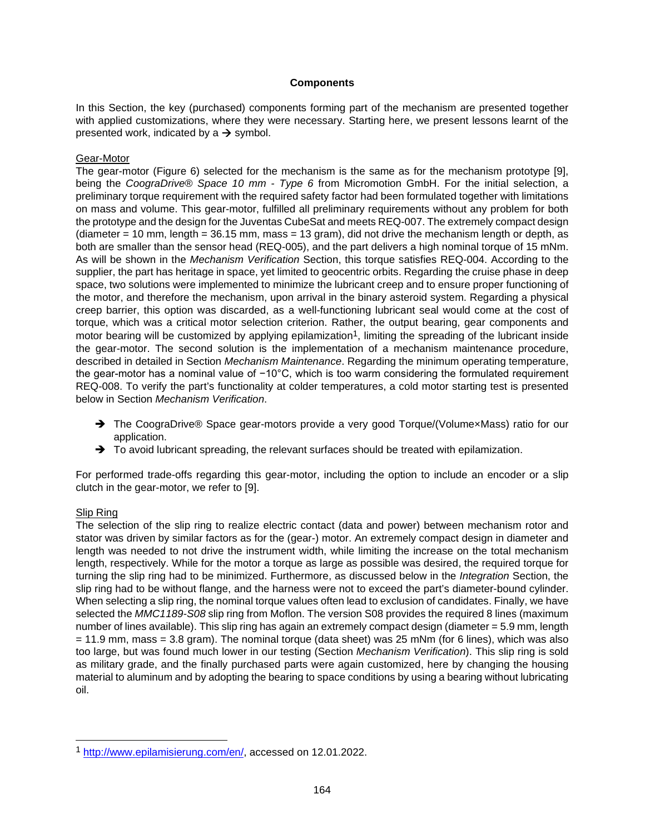### **Components**

In this Section, the key (purchased) components forming part of the mechanism are presented together with applied customizations, where they were necessary. Starting here, we present lessons learnt of the presented work, indicated by a  $\rightarrow$  symbol.

### Gear-Motor

The gear-motor (Figure 6) selected for the mechanism is the same as for the mechanism prototype [9], being the *CoograDrive® Space 10 mm - Type 6* from Micromotion GmbH. For the initial selection, a preliminary torque requirement with the required safety factor had been formulated together with limitations on mass and volume. This gear-motor, fulfilled all preliminary requirements without any problem for both the prototype and the design for the Juventas CubeSat and meets REQ-007. The extremely compact design  $(diameter = 10$  mm, length =  $36.15$  mm, mass = 13 gram), did not drive the mechanism length or depth, as both are smaller than the sensor head (REQ-005), and the part delivers a high nominal torque of 15 mNm. As will be shown in the *Mechanism Verification* Section, this torque satisfies REQ-004. According to the supplier, the part has heritage in space, yet limited to geocentric orbits. Regarding the cruise phase in deep space, two solutions were implemented to minimize the lubricant creep and to ensure proper functioning of the motor, and therefore the mechanism, upon arrival in the binary asteroid system. Regarding a physical creep barrier, this option was discarded, as a well-functioning lubricant seal would come at the cost of torque, which was a critical motor selection criterion. Rather, the output bearing, gear components and motor bearing will be customized by applying epilamization<sup>[1](#page-5-0)</sup>, limiting the spreading of the lubricant inside the gear-motor. The second solution is the implementation of a mechanism maintenance procedure, described in detailed in Section *Mechanism Maintenance*. Regarding the minimum operating temperature, the gear-motor has a nominal value of −10°C, which is too warm considering the formulated requirement REQ-008. To verify the part's functionality at colder temperatures, a cold motor starting test is presented below in Section *Mechanism Verification*.

- → The CoograDrive® Space gear-motors provide a very good Torque/(VolumexMass) ratio for our application.
- $\rightarrow$  To avoid lubricant spreading, the relevant surfaces should be treated with epilamization.

For performed trade-offs regarding this gear-motor, including the option to include an encoder or a slip clutch in the gear-motor, we refer to [9].

### Slip Ring

The selection of the slip ring to realize electric contact (data and power) between mechanism rotor and stator was driven by similar factors as for the (gear-) motor. An extremely compact design in diameter and length was needed to not drive the instrument width, while limiting the increase on the total mechanism length, respectively. While for the motor a torque as large as possible was desired, the required torque for turning the slip ring had to be minimized. Furthermore, as discussed below in the *Integration* Section, the slip ring had to be without flange, and the harness were not to exceed the part's diameter-bound cylinder. When selecting a slip ring, the nominal torque values often lead to exclusion of candidates. Finally, we have selected the *MMC1189-S08* slip ring from Moflon. The version S08 provides the required 8 lines (maximum number of lines available). This slip ring has again an extremely compact design (diameter = 5.9 mm, length = 11.9 mm, mass = 3.8 gram). The nominal torque (data sheet) was 25 mNm (for 6 lines), which was also too large, but was found much lower in our testing (Section *Mechanism Verification*). This slip ring is sold as military grade, and the finally purchased parts were again customized, here by changing the housing material to aluminum and by adopting the bearing to space conditions by using a bearing without lubricating oil.

<span id="page-5-0"></span><sup>1</sup> http://www.epilamisierung.com/en/, accessed on 12.01.2022.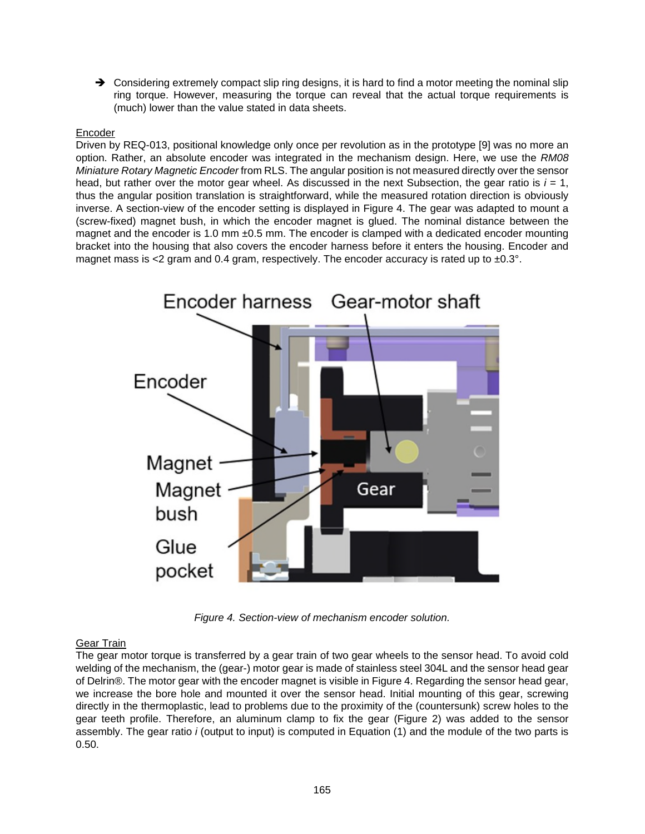$\rightarrow$  Considering extremely compact slip ring designs, it is hard to find a motor meeting the nominal slip ring torque. However, measuring the torque can reveal that the actual torque requirements is (much) lower than the value stated in data sheets.

## Encoder

Driven by REQ-013, positional knowledge only once per revolution as in the prototype [9] was no more an option. Rather, an absolute encoder was integrated in the mechanism design. Here, we use the *RM08 Miniature Rotary Magnetic Encoder* from RLS. The angular position is not measured directly over the sensor head, but rather over the motor gear wheel. As discussed in the next Subsection, the gear ratio is  $i = 1$ , thus the angular position translation is straightforward, while the measured rotation direction is obviously inverse. A section-view of the encoder setting is displayed in Figure 4. The gear was adapted to mount a (screw-fixed) magnet bush, in which the encoder magnet is glued. The nominal distance between the magnet and the encoder is 1.0 mm ±0.5 mm. The encoder is clamped with a dedicated encoder mounting bracket into the housing that also covers the encoder harness before it enters the housing. Encoder and magnet mass is  $<2$  gram and 0.4 gram, respectively. The encoder accuracy is rated up to  $\pm 0.3^\circ$ .



*Figure 4. Section-view of mechanism encoder solution.* 

## Gear Train

The gear motor torque is transferred by a gear train of two gear wheels to the sensor head. To avoid cold welding of the mechanism, the (gear-) motor gear is made of stainless steel 304L and the sensor head gear of Delrin®. The motor gear with the encoder magnet is visible in Figure 4. Regarding the sensor head gear, we increase the bore hole and mounted it over the sensor head. Initial mounting of this gear, screwing directly in the thermoplastic, lead to problems due to the proximity of the (countersunk) screw holes to the gear teeth profile. Therefore, an aluminum clamp to fix the gear (Figure 2) was added to the sensor assembly. The gear ratio *i* (output to input) is computed in Equation (1) and the module of the two parts is 0.50.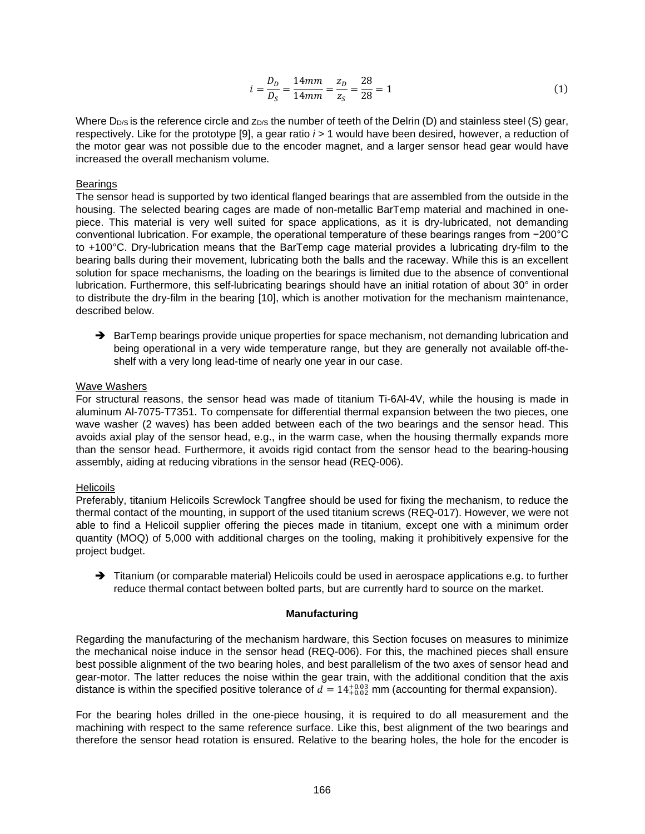$$
i = \frac{D_D}{D_S} = \frac{14mm}{14mm} = \frac{z_D}{z_S} = \frac{28}{28} = 1\tag{1}
$$

Where  $D_{D/S}$  is the reference circle and  $Z_{DS}$  the number of teeth of the Delrin (D) and stainless steel (S) gear, respectively. Like for the prototype [9], a gear ratio *i* > 1 would have been desired, however, a reduction of the motor gear was not possible due to the encoder magnet, and a larger sensor head gear would have increased the overall mechanism volume.

#### **Bearings**

The sensor head is supported by two identical flanged bearings that are assembled from the outside in the housing. The selected bearing cages are made of non-metallic BarTemp material and machined in onepiece. This material is very well suited for space applications, as it is dry-lubricated, not demanding conventional lubrication. For example, the operational temperature of these bearings ranges from −200°C to +100°C. Dry-lubrication means that the BarTemp cage material provides a lubricating dry-film to the bearing balls during their movement, lubricating both the balls and the raceway. While this is an excellent solution for space mechanisms, the loading on the bearings is limited due to the absence of conventional lubrication. Furthermore, this self-lubricating bearings should have an initial rotation of about 30° in order to distribute the dry-film in the bearing [10], which is another motivation for the mechanism maintenance, described below.

 $\rightarrow$  BarTemp bearings provide unique properties for space mechanism, not demanding lubrication and being operational in a very wide temperature range, but they are generally not available off-theshelf with a very long lead-time of nearly one year in our case.

#### Wave Washers

For structural reasons, the sensor head was made of titanium Ti-6Al-4V, while the housing is made in aluminum Al-7075-T7351. To compensate for differential thermal expansion between the two pieces, one wave washer (2 waves) has been added between each of the two bearings and the sensor head. This avoids axial play of the sensor head, e.g., in the warm case, when the housing thermally expands more than the sensor head. Furthermore, it avoids rigid contact from the sensor head to the bearing-housing assembly, aiding at reducing vibrations in the sensor head (REQ-006).

### **Helicoils**

Preferably, titanium Helicoils Screwlock Tangfree should be used for fixing the mechanism, to reduce the thermal contact of the mounting, in support of the used titanium screws (REQ-017). However, we were not able to find a Helicoil supplier offering the pieces made in titanium, except one with a minimum order quantity (MOQ) of 5,000 with additional charges on the tooling, making it prohibitively expensive for the project budget.

 $\rightarrow$  Titanium (or comparable material) Helicoils could be used in aerospace applications e.g. to further reduce thermal contact between bolted parts, but are currently hard to source on the market.

### **Manufacturing**

Regarding the manufacturing of the mechanism hardware, this Section focuses on measures to minimize the mechanical noise induce in the sensor head (REQ-006). For this, the machined pieces shall ensure best possible alignment of the two bearing holes, and best parallelism of the two axes of sensor head and gear-motor. The latter reduces the noise within the gear train, with the additional condition that the axis distance is within the specified positive tolerance of  $d = 14^{+0.03}_{+0.02}$  mm (accounting for thermal expansion).

For the bearing holes drilled in the one-piece housing, it is required to do all measurement and the machining with respect to the same reference surface. Like this, best alignment of the two bearings and therefore the sensor head rotation is ensured. Relative to the bearing holes, the hole for the encoder is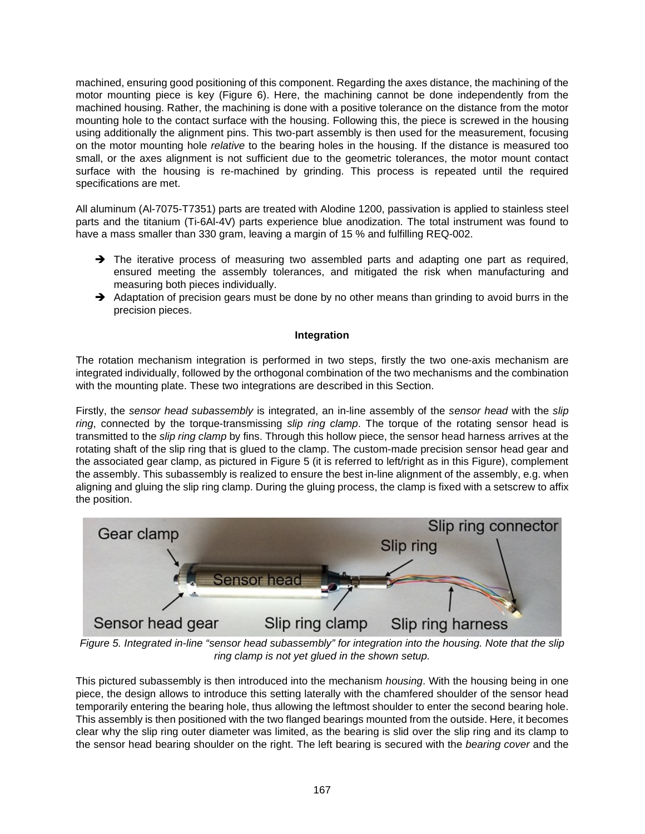machined, ensuring good positioning of this component. Regarding the axes distance, the machining of the motor mounting piece is key (Figure 6). Here, the machining cannot be done independently from the machined housing. Rather, the machining is done with a positive tolerance on the distance from the motor mounting hole to the contact surface with the housing. Following this, the piece is screwed in the housing using additionally the alignment pins. This two-part assembly is then used for the measurement, focusing on the motor mounting hole *relative* to the bearing holes in the housing. If the distance is measured too small, or the axes alignment is not sufficient due to the geometric tolerances, the motor mount contact surface with the housing is re-machined by grinding. This process is repeated until the required specifications are met.

All aluminum (Al-7075-T7351) parts are treated with Alodine 1200, passivation is applied to stainless steel parts and the titanium (Ti-6Al-4V) parts experience blue anodization. The total instrument was found to have a mass smaller than 330 gram, leaving a margin of 15 % and fulfilling REQ-002.

- The iterative process of measuring two assembled parts and adapting one part as required, ensured meeting the assembly tolerances, and mitigated the risk when manufacturing and measuring both pieces individually.
- Adaptation of precision gears must be done by no other means than grinding to avoid burrs in the precision pieces.

## **Integration**

The rotation mechanism integration is performed in two steps, firstly the two one-axis mechanism are integrated individually, followed by the orthogonal combination of the two mechanisms and the combination with the mounting plate. These two integrations are described in this Section.

Firstly, the *sensor head subassembly* is integrated, an in-line assembly of the *sensor head* with the *slip ring*, connected by the torque-transmissing *slip ring clamp*. The torque of the rotating sensor head is transmitted to the *slip ring clamp* by fins. Through this hollow piece, the sensor head harness arrives at the rotating shaft of the slip ring that is glued to the clamp. The custom-made precision sensor head gear and the associated gear clamp, as pictured in Figure 5 (it is referred to left/right as in this Figure), complement the assembly. This subassembly is realized to ensure the best in-line alignment of the assembly, e.g. when aligning and gluing the slip ring clamp. During the gluing process, the clamp is fixed with a setscrew to affix the position.



*Figure 5. Integrated in-line "sensor head subassembly" for integration into the housing. Note that the slip ring clamp is not yet glued in the shown setup.* 

This pictured subassembly is then introduced into the mechanism *housing*. With the housing being in one piece, the design allows to introduce this setting laterally with the chamfered shoulder of the sensor head temporarily entering the bearing hole, thus allowing the leftmost shoulder to enter the second bearing hole. This assembly is then positioned with the two flanged bearings mounted from the outside. Here, it becomes clear why the slip ring outer diameter was limited, as the bearing is slid over the slip ring and its clamp to the sensor head bearing shoulder on the right. The left bearing is secured with the *bearing cover* and the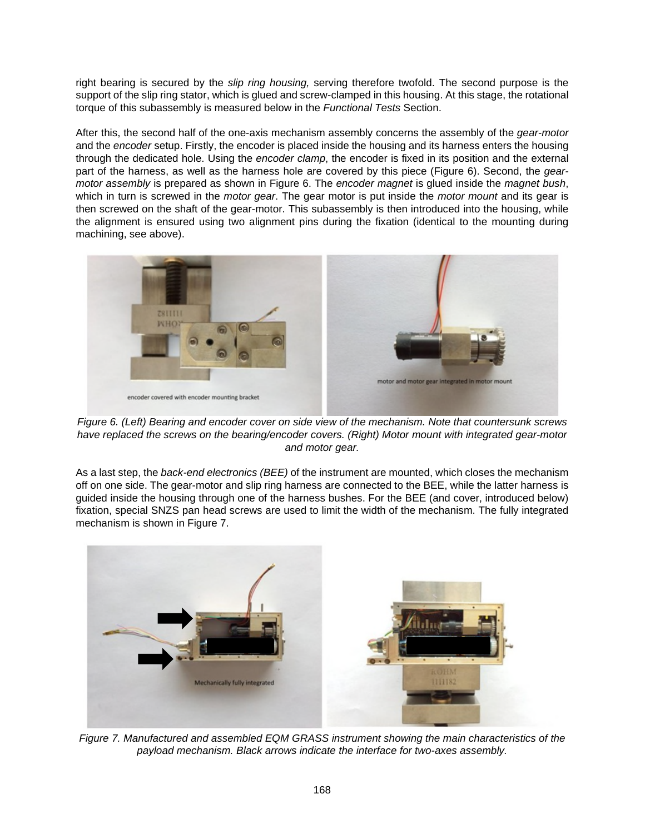right bearing is secured by the *slip ring housing,* serving therefore twofold. The second purpose is the support of the slip ring stator, which is glued and screw-clamped in this housing. At this stage, the rotational torque of this subassembly is measured below in the *Functional Tests* Section.

After this, the second half of the one-axis mechanism assembly concerns the assembly of the *gear-motor* and the *encoder* setup. Firstly, the encoder is placed inside the housing and its harness enters the housing through the dedicated hole. Using the *encoder clamp*, the encoder is fixed in its position and the external part of the harness, as well as the harness hole are covered by this piece (Figure 6). Second, the *gearmotor assembly* is prepared as shown in Figure 6. The *encoder magnet* is glued inside the *magnet bush*, which in turn is screwed in the *motor gear*. The gear motor is put inside the *motor mount* and its gear is then screwed on the shaft of the gear-motor. This subassembly is then introduced into the housing, while the alignment is ensured using two alignment pins during the fixation (identical to the mounting during machining, see above).



*Figure 6. (Left) Bearing and encoder cover on side view of the mechanism. Note that countersunk screws have replaced the screws on the bearing/encoder covers. (Right) Motor mount with integrated gear-motor and motor gear.*

As a last step, the *back-end electronics (BEE)* of the instrument are mounted, which closes the mechanism off on one side. The gear-motor and slip ring harness are connected to the BEE, while the latter harness is guided inside the housing through one of the harness bushes. For the BEE (and cover, introduced below) fixation, special SNZS pan head screws are used to limit the width of the mechanism. The fully integrated mechanism is shown in Figure 7.



*Figure 7. Manufactured and assembled EQM GRASS instrument showing the main characteristics of the payload mechanism. Black arrows indicate the interface for two-axes assembly.*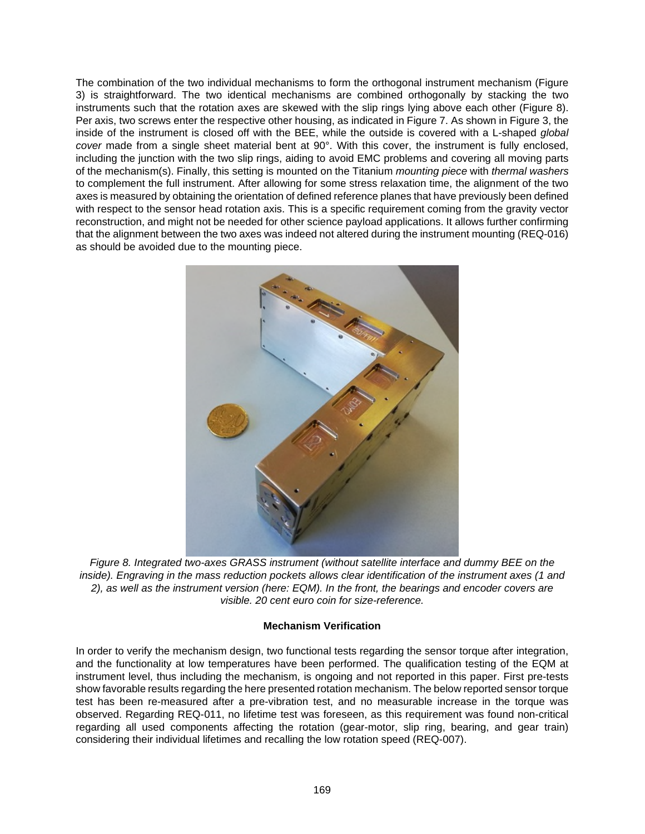The combination of the two individual mechanisms to form the orthogonal instrument mechanism (Figure 3) is straightforward. The two identical mechanisms are combined orthogonally by stacking the two instruments such that the rotation axes are skewed with the slip rings lying above each other (Figure 8). Per axis, two screws enter the respective other housing, as indicated in Figure 7. As shown in Figure 3, the inside of the instrument is closed off with the BEE, while the outside is covered with a L-shaped *global cover* made from a single sheet material bent at 90°. With this cover, the instrument is fully enclosed, including the junction with the two slip rings, aiding to avoid EMC problems and covering all moving parts of the mechanism(s). Finally, this setting is mounted on the Titanium *mounting piece* with *thermal washers* to complement the full instrument. After allowing for some stress relaxation time, the alignment of the two axes is measured by obtaining the orientation of defined reference planes that have previously been defined with respect to the sensor head rotation axis. This is a specific requirement coming from the gravity vector reconstruction, and might not be needed for other science payload applications. It allows further confirming that the alignment between the two axes was indeed not altered during the instrument mounting (REQ-016) as should be avoided due to the mounting piece.



*Figure 8. Integrated two-axes GRASS instrument (without satellite interface and dummy BEE on the inside). Engraving in the mass reduction pockets allows clear identification of the instrument axes (1 and 2), as well as the instrument version (here: EQM). In the front, the bearings and encoder covers are visible. 20 cent euro coin for size-reference.*

## **Mechanism Verification**

In order to verify the mechanism design, two functional tests regarding the sensor torque after integration, and the functionality at low temperatures have been performed. The qualification testing of the EQM at instrument level, thus including the mechanism, is ongoing and not reported in this paper. First pre-tests show favorable results regarding the here presented rotation mechanism. The below reported sensor torque test has been re-measured after a pre-vibration test, and no measurable increase in the torque was observed. Regarding REQ-011, no lifetime test was foreseen, as this requirement was found non-critical regarding all used components affecting the rotation (gear-motor, slip ring, bearing, and gear train) considering their individual lifetimes and recalling the low rotation speed (REQ-007).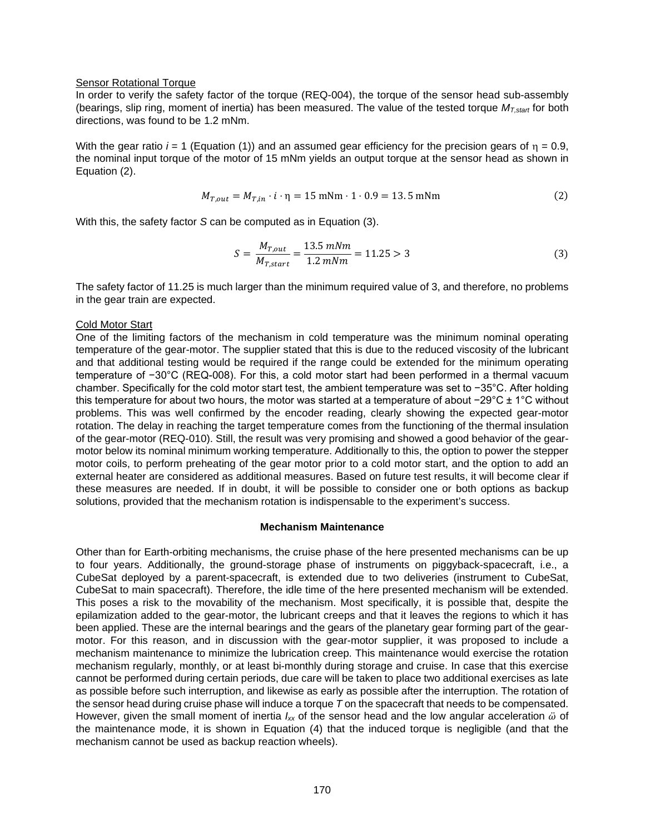#### Sensor Rotational Torque

In order to verify the safety factor of the torque (REQ-004), the torque of the sensor head sub-assembly (bearings, slip ring, moment of inertia) has been measured. The value of the tested torque *MT,start* for both directions, was found to be 1.2 mNm.

With the gear ratio  $i = 1$  (Equation (1)) and an assumed gear efficiency for the precision gears of  $n = 0.9$ . the nominal input torque of the motor of 15 mNm yields an output torque at the sensor head as shown in Equation (2).

$$
M_{T,out} = M_{T,in} \cdot i \cdot \eta = 15 \text{ mNm} \cdot 1 \cdot 0.9 = 13.5 \text{ mNm}
$$
 (2)

With this, the safety factor *S* can be computed as in Equation (3).

$$
S = \frac{M_{T,out}}{M_{T,start}} = \frac{13.5 \, mNm}{1.2 \, mNm} = 11.25 > 3\tag{3}
$$

The safety factor of 11.25 is much larger than the minimum required value of 3, and therefore, no problems in the gear train are expected.

#### Cold Motor Start

One of the limiting factors of the mechanism in cold temperature was the minimum nominal operating temperature of the gear-motor. The supplier stated that this is due to the reduced viscosity of the lubricant and that additional testing would be required if the range could be extended for the minimum operating temperature of −30°C (REQ-008). For this, a cold motor start had been performed in a thermal vacuum chamber. Specifically for the cold motor start test, the ambient temperature was set to −35°C. After holding this temperature for about two hours, the motor was started at a temperature of about −29°C ± 1°C without problems. This was well confirmed by the encoder reading, clearly showing the expected gear-motor rotation. The delay in reaching the target temperature comes from the functioning of the thermal insulation of the gear-motor (REQ-010). Still, the result was very promising and showed a good behavior of the gearmotor below its nominal minimum working temperature. Additionally to this, the option to power the stepper motor coils, to perform preheating of the gear motor prior to a cold motor start, and the option to add an external heater are considered as additional measures. Based on future test results, it will become clear if these measures are needed. If in doubt, it will be possible to consider one or both options as backup solutions, provided that the mechanism rotation is indispensable to the experiment's success.

#### **Mechanism Maintenance**

Other than for Earth-orbiting mechanisms, the cruise phase of the here presented mechanisms can be up to four years. Additionally, the ground-storage phase of instruments on piggyback-spacecraft, i.e., a CubeSat deployed by a parent-spacecraft, is extended due to two deliveries (instrument to CubeSat, CubeSat to main spacecraft). Therefore, the idle time of the here presented mechanism will be extended. This poses a risk to the movability of the mechanism. Most specifically, it is possible that, despite the epilamization added to the gear-motor, the lubricant creeps and that it leaves the regions to which it has been applied. These are the internal bearings and the gears of the planetary gear forming part of the gearmotor. For this reason, and in discussion with the gear-motor supplier, it was proposed to include a mechanism maintenance to minimize the lubrication creep. This maintenance would exercise the rotation mechanism regularly, monthly, or at least bi-monthly during storage and cruise. In case that this exercise cannot be performed during certain periods, due care will be taken to place two additional exercises as late as possible before such interruption, and likewise as early as possible after the interruption. The rotation of the sensor head during cruise phase will induce a torque *T* on the spacecraft that needs to be compensated. However, given the small moment of inertia  $I_{xx}$  of the sensor head and the low angular acceleration  $\ddot{\omega}$  of the maintenance mode, it is shown in Equation (4) that the induced torque is negligible (and that the mechanism cannot be used as backup reaction wheels).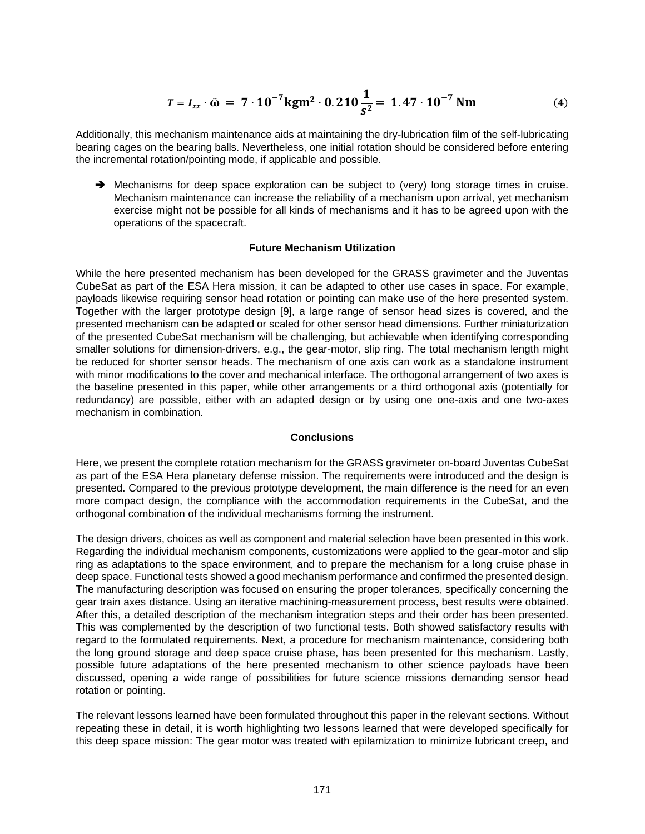$$
T = I_{xx} \cdot \hat{\omega} = 7 \cdot 10^{-7} \text{kg} \text{m}^2 \cdot 0.210 \frac{1}{s^2} = 1.47 \cdot 10^{-7} \text{ Nm}
$$
 (4)

Additionally, this mechanism maintenance aids at maintaining the dry-lubrication film of the self-lubricating bearing cages on the bearing balls. Nevertheless, one initial rotation should be considered before entering the incremental rotation/pointing mode, if applicable and possible.

 $\rightarrow$  Mechanisms for deep space exploration can be subject to (very) long storage times in cruise. Mechanism maintenance can increase the reliability of a mechanism upon arrival, yet mechanism exercise might not be possible for all kinds of mechanisms and it has to be agreed upon with the operations of the spacecraft.

#### **Future Mechanism Utilization**

While the here presented mechanism has been developed for the GRASS gravimeter and the Juventas CubeSat as part of the ESA Hera mission, it can be adapted to other use cases in space. For example, payloads likewise requiring sensor head rotation or pointing can make use of the here presented system. Together with the larger prototype design [9], a large range of sensor head sizes is covered, and the presented mechanism can be adapted or scaled for other sensor head dimensions. Further miniaturization of the presented CubeSat mechanism will be challenging, but achievable when identifying corresponding smaller solutions for dimension-drivers, e.g., the gear-motor, slip ring. The total mechanism length might be reduced for shorter sensor heads. The mechanism of one axis can work as a standalone instrument with minor modifications to the cover and mechanical interface. The orthogonal arrangement of two axes is the baseline presented in this paper, while other arrangements or a third orthogonal axis (potentially for redundancy) are possible, either with an adapted design or by using one one-axis and one two-axes mechanism in combination.

#### **Conclusions**

Here, we present the complete rotation mechanism for the GRASS gravimeter on-board Juventas CubeSat as part of the ESA Hera planetary defense mission. The requirements were introduced and the design is presented. Compared to the previous prototype development, the main difference is the need for an even more compact design, the compliance with the accommodation requirements in the CubeSat, and the orthogonal combination of the individual mechanisms forming the instrument.

The design drivers, choices as well as component and material selection have been presented in this work. Regarding the individual mechanism components, customizations were applied to the gear-motor and slip ring as adaptations to the space environment, and to prepare the mechanism for a long cruise phase in deep space. Functional tests showed a good mechanism performance and confirmed the presented design. The manufacturing description was focused on ensuring the proper tolerances, specifically concerning the gear train axes distance. Using an iterative machining-measurement process, best results were obtained. After this, a detailed description of the mechanism integration steps and their order has been presented. This was complemented by the description of two functional tests. Both showed satisfactory results with regard to the formulated requirements. Next, a procedure for mechanism maintenance, considering both the long ground storage and deep space cruise phase, has been presented for this mechanism. Lastly, possible future adaptations of the here presented mechanism to other science payloads have been discussed, opening a wide range of possibilities for future science missions demanding sensor head rotation or pointing.

The relevant lessons learned have been formulated throughout this paper in the relevant sections. Without repeating these in detail, it is worth highlighting two lessons learned that were developed specifically for this deep space mission: The gear motor was treated with epilamization to minimize lubricant creep, and